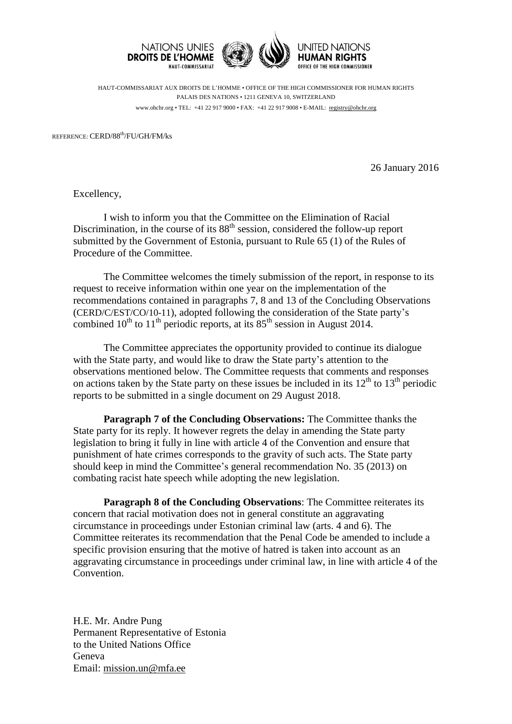



HUMAN RIGHTS OFFICE OF THE HIGH COMMISSIONER

HAUT-COMMISSARIAT AUX DROITS DE L'HOMME • OFFICE OF THE HIGH COMMISSIONER FOR HUMAN RIGHTS PALAIS DES NATIONS • 1211 GENEVA 10, SWITZERLAND www.ohchr.org • TEL: +41 22 917 9000 • FAX: +41 22 917 9008 • E-MAIL: [registry@ohchr.org](mailto:registry@ohchr.org)

REFERENCE: CERD/88th/FU/GH/FM/ks

26 January 2016

Excellency,

I wish to inform you that the Committee on the Elimination of Racial Discrimination, in the course of its 88<sup>th</sup> session, considered the follow-up report submitted by the Government of Estonia, pursuant to Rule 65 (1) of the Rules of Procedure of the Committee.

The Committee welcomes the timely submission of the report, in response to its request to receive information within one year on the implementation of the recommendations contained in paragraphs 7, 8 and 13 of the Concluding Observations (CERD/C/EST/CO/10-11), adopted following the consideration of the State party's combined  $10^{th}$  to  $11^{th}$  periodic reports, at its  $85^{th}$  session in August 2014.

The Committee appreciates the opportunity provided to continue its dialogue with the State party, and would like to draw the State party's attention to the observations mentioned below. The Committee requests that comments and responses on actions taken by the State party on these issues be included in its  $12<sup>th</sup>$  to  $13<sup>th</sup>$  periodic reports to be submitted in a single document on 29 August 2018.

**Paragraph 7 of the Concluding Observations:** The Committee thanks the State party for its reply. It however regrets the delay in amending the State party legislation to bring it fully in line with article 4 of the Convention and ensure that punishment of hate crimes corresponds to the gravity of such acts. The State party should keep in mind the Committee's general recommendation No. 35 (2013) on combating racist hate speech while adopting the new legislation.

**Paragraph 8 of the Concluding Observations**: The Committee reiterates its concern that racial motivation does not in general constitute an aggravating circumstance in proceedings under Estonian criminal law (arts. 4 and 6). The Committee reiterates its recommendation that the Penal Code be amended to include a specific provision ensuring that the motive of hatred is taken into account as an aggravating circumstance in proceedings under criminal law, in line with article 4 of the Convention.

H.E. Mr. Andre Pung Permanent Representative of Estonia to the United Nations Office Geneva Email: [mission.un@mfa.ee](mailto:mission.un@mfa.ee)